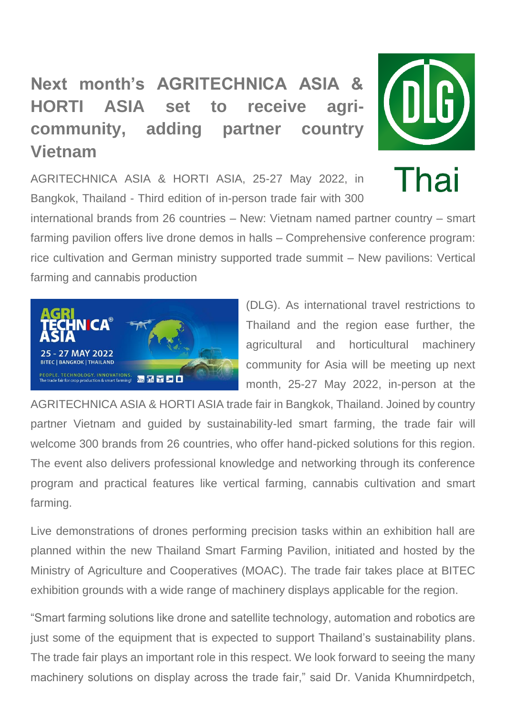# **Next month's AGRITECHNICA ASIA & HORTI ASIA set to receive agricommunity, adding partner country Vietnam**



Thai

AGRITECHNICA ASIA & HORTI ASIA, 25-27 May 2022, in Bangkok, Thailand - Third edition of in-person trade fair with 300

international brands from 26 countries – New: Vietnam named partner country – smart farming pavilion offers live drone demos in halls – Comprehensive conference program: rice cultivation and German ministry supported trade summit – New pavilions: Vertical farming and cannabis production



(DLG). As international travel restrictions to Thailand and the region ease further, the agricultural and horticultural machinery community for Asia will be meeting up next month, 25-27 May 2022, in-person at the

AGRITECHNICA ASIA & HORTI ASIA trade fair in Bangkok, Thailand. Joined by country partner Vietnam and guided by sustainability-led smart farming, the trade fair will welcome 300 brands from 26 countries, who offer hand-picked solutions for this region. The event also delivers professional knowledge and networking through its conference program and practical features like vertical farming, cannabis cultivation and smart farming.

Live demonstrations of drones performing precision tasks within an exhibition hall are planned within the new Thailand Smart Farming Pavilion, initiated and hosted by the Ministry of Agriculture and Cooperatives (MOAC). The trade fair takes place at BITEC exhibition grounds with a wide range of machinery displays applicable for the region.

"Smart farming solutions like drone and satellite technology, automation and robotics are just some of the equipment that is expected to support Thailand's sustainability plans. The trade fair plays an important role in this respect. We look forward to seeing the many machinery solutions on display across the trade fair," said Dr. Vanida Khumnirdpetch,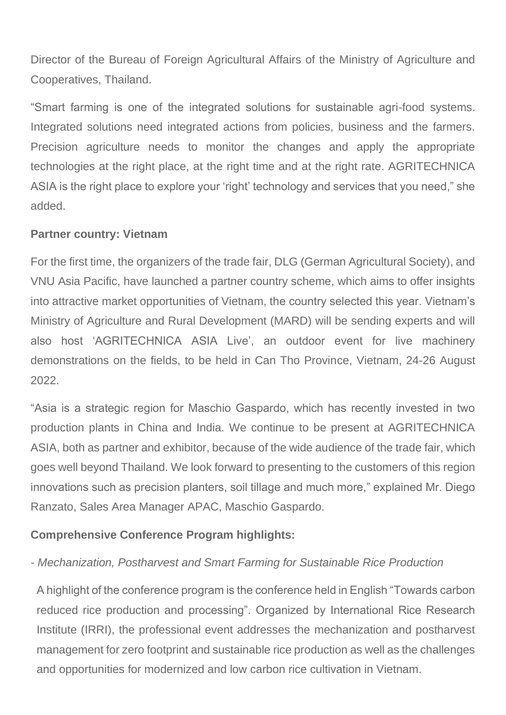Director of the Bureau of Foreign Agricultural Affairs of the Ministry of Agriculture and Cooperatives, Thailand.

"Smart farming is one of the integrated solutions for sustainable agri-food systems. Integrated solutions need integrated actions from policies, business and the farmers. Precision agriculture needs to monitor the changes and apply the appropriate technologies at the right place, at the right time and at the right rate. AGRITECHNICA ASIA is the right place to explore your 'right' technology and services that you need," she added.

#### **Partner country: Vietnam**

For the first time, the organizers of the trade fair, DLG (German Agricultural Society), and VNU Asia Pacific, have launched a partner country scheme, which aims to offer insights into attractive market opportunities of Vietnam, the country selected this year. Vietnam's Ministry of Agriculture and Rural Development (MARD) will be sending experts and will also host 'AGRITECHNICA ASIA Live', an outdoor event for live machinery demonstrations on the fields, to be held in Can Tho Province, Vietnam, 24-26 August 2022.

"Asia is a strategic region for Maschio Gaspardo, which has recently invested in two production plants in China and India. We continue to be present at AGRITECHNICA ASIA, both as partner and exhibitor, because of the wide audience of the trade fair, which goes well beyond Thailand. We look forward to presenting to the customers of this region innovations such as precision planters, soil tillage and much more," explained Mr. Diego Ranzato, Sales Area Manager APAC, Maschio Gaspardo.

## **Comprehensive Conference Program highlights:**

#### *- Mechanization, Postharvest and Smart Farming for Sustainable Rice Production*

A highlight of the conference program is the conference held in English "Towards carbon reduced rice production and processing". Organized by International Rice Research Institute (IRRI), the professional event addresses the mechanization and postharvest management for zero footprint and sustainable rice production as well as the challenges and opportunities for modernized and low carbon rice cultivation in Vietnam.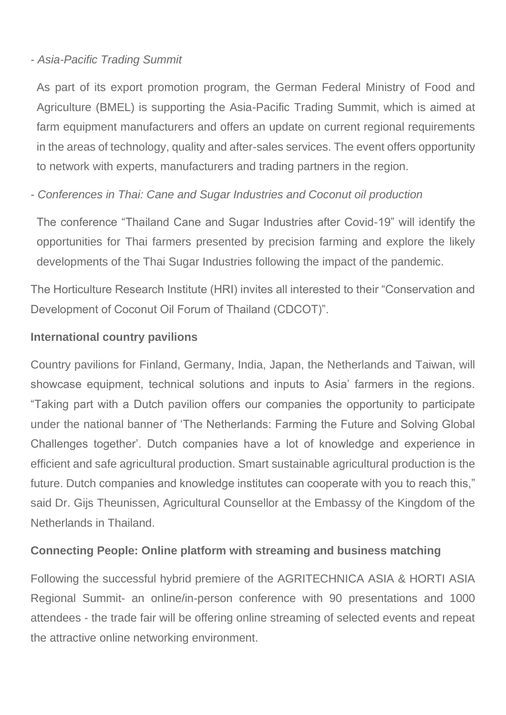#### *- Asia-Pacific Trading Summit*

As part of its export promotion program, the German Federal Ministry of Food and Agriculture (BMEL) is supporting the Asia-Pacific Trading Summit, which is aimed at farm equipment manufacturers and offers an update on current regional requirements in the areas of technology, quality and after-sales services. The event offers opportunity to network with experts, manufacturers and trading partners in the region.

## *- Conferences in Thai: Cane and Sugar Industries and Coconut oil production*

The conference "Thailand Cane and Sugar Industries after Covid-19" will identify the opportunities for Thai farmers presented by precision farming and explore the likely developments of the Thai Sugar Industries following the impact of the pandemic.

The Horticulture Research Institute (HRI) invites all interested to their "Conservation and Development of Coconut Oil Forum of Thailand (CDCOT)".

## **International country pavilions**

Country pavilions for Finland, Germany, India, Japan, the Netherlands and Taiwan, will showcase equipment, technical solutions and inputs to Asia' farmers in the regions. "Taking part with a Dutch pavilion offers our companies the opportunity to participate under the national banner of 'The Netherlands: Farming the Future and Solving Global Challenges together'. Dutch companies have a lot of knowledge and experience in efficient and safe agricultural production. Smart sustainable agricultural production is the future. Dutch companies and knowledge institutes can cooperate with you to reach this," said Dr. Gijs Theunissen, Agricultural Counsellor at the Embassy of the Kingdom of the Netherlands in Thailand.

## **Connecting People: Online platform with streaming and business matching**

Following the successful hybrid premiere of the AGRITECHNICA ASIA & HORTI ASIA Regional Summit- an online/in-person conference with 90 presentations and 1000 attendees - the trade fair will be offering online streaming of selected events and repeat the attractive online networking environment.